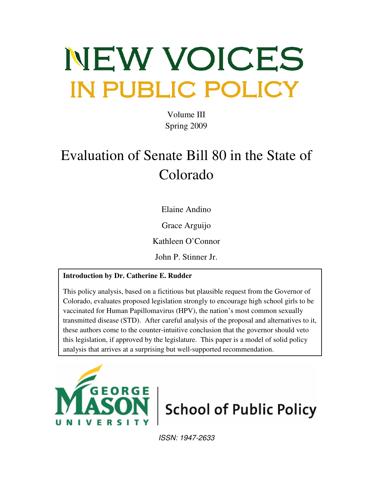# NEW VOICES IN PUBLIC POLICY

Volume III Spring 2009

# Evaluation of Senate Bill 80 in the State of Colorado

Elaine Andino

Grace Arguijo

Kathleen O'Connor

John P. Stinner Jr.

# **Introduction by Dr. Catherine E. Rudder**

This policy analysis, based on a fictitious but plausible request from the Governor of Colorado, evaluates proposed legislation strongly to encourage high school girls to be vaccinated for Human Papillomavirus (HPV), the nation's most common sexually transmitted disease (STD). After careful analysis of the proposal and alternatives to it, these authors come to the counter-intuitive conclusion that the governor should veto this legislation, if approved by the legislature. This paper is a model of solid policy analysis that arrives at a surprising but well-supported recommendation.





ISSN: 1947-2633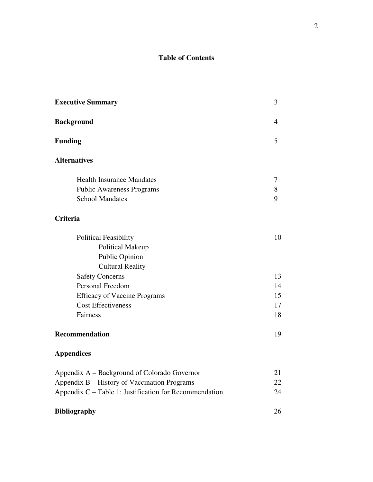## **Table of Contents**

| <b>Executive Summary</b>                               |    |  |
|--------------------------------------------------------|----|--|
| <b>Background</b>                                      | 4  |  |
| <b>Funding</b>                                         | 5  |  |
| <b>Alternatives</b>                                    |    |  |
| <b>Health Insurance Mandates</b>                       | 7  |  |
| <b>Public Awareness Programs</b>                       | 8  |  |
| <b>School Mandates</b>                                 | 9  |  |
| Criteria                                               |    |  |
| <b>Political Feasibility</b>                           | 10 |  |
| <b>Political Makeup</b>                                |    |  |
| <b>Public Opinion</b>                                  |    |  |
| <b>Cultural Reality</b>                                |    |  |
| <b>Safety Concerns</b>                                 | 13 |  |
| Personal Freedom                                       |    |  |
| <b>Efficacy of Vaccine Programs</b>                    | 15 |  |
| <b>Cost Effectiveness</b>                              | 17 |  |
| Fairness                                               | 18 |  |
| Recommendation                                         | 19 |  |
| <b>Appendices</b>                                      |    |  |
| Appendix A - Background of Colorado Governor           |    |  |
| Appendix B - History of Vaccination Programs           |    |  |
| Appendix C - Table 1: Justification for Recommendation | 24 |  |
| <b>Bibliography</b>                                    | 26 |  |
|                                                        |    |  |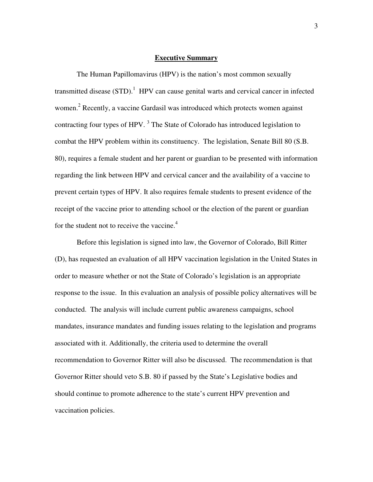#### **Executive Summary**

The Human Papillomavirus (HPV) is the nation's most common sexually transmitted disease  $(STD)$ .<sup>1</sup> HPV can cause genital warts and cervical cancer in infected women.<sup>2</sup> Recently, a vaccine Gardasil was introduced which protects women against contracting four types of HPV.  $3$  The State of Colorado has introduced legislation to combat the HPV problem within its constituency. The legislation, Senate Bill 80 (S.B. 80), requires a female student and her parent or guardian to be presented with information regarding the link between HPV and cervical cancer and the availability of a vaccine to prevent certain types of HPV. It also requires female students to present evidence of the receipt of the vaccine prior to attending school or the election of the parent or guardian for the student not to receive the vaccine. $4$ 

Before this legislation is signed into law, the Governor of Colorado, Bill Ritter (D), has requested an evaluation of all HPV vaccination legislation in the United States in order to measure whether or not the State of Colorado's legislation is an appropriate response to the issue. In this evaluation an analysis of possible policy alternatives will be conducted. The analysis will include current public awareness campaigns, school mandates, insurance mandates and funding issues relating to the legislation and programs associated with it. Additionally, the criteria used to determine the overall recommendation to Governor Ritter will also be discussed. The recommendation is that Governor Ritter should veto S.B. 80 if passed by the State's Legislative bodies and should continue to promote adherence to the state's current HPV prevention and vaccination policies.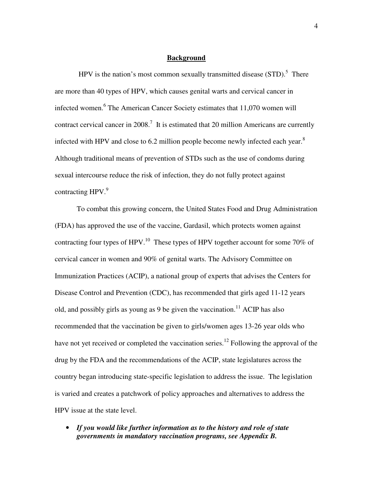#### **Background**

HPV is the nation's most common sexually transmitted disease  $(STD)$ .<sup>5</sup> There are more than 40 types of HPV, which causes genital warts and cervical cancer in infected women.<sup>6</sup> The American Cancer Society estimates that 11,070 women will contract cervical cancer in 2008.<sup>7</sup> It is estimated that 20 million Americans are currently infected with HPV and close to 6.2 million people become newly infected each year. $8$ Although traditional means of prevention of STDs such as the use of condoms during sexual intercourse reduce the risk of infection, they do not fully protect against contracting  $HPV.<sup>9</sup>$ 

To combat this growing concern, the United States Food and Drug Administration (FDA) has approved the use of the vaccine, Gardasil, which protects women against contracting four types of HPV.<sup>10</sup> These types of HPV together account for some 70% of cervical cancer in women and 90% of genital warts. The Advisory Committee on Immunization Practices (ACIP), a national group of experts that advises the Centers for Disease Control and Prevention (CDC), has recommended that girls aged 11-12 years old, and possibly girls as young as 9 be given the vaccination.<sup>11</sup> ACIP has also recommended that the vaccination be given to girls/women ages 13-26 year olds who have not yet received or completed the vaccination series.<sup>12</sup> Following the approval of the drug by the FDA and the recommendations of the ACIP, state legislatures across the country began introducing state-specific legislation to address the issue. The legislation is varied and creates a patchwork of policy approaches and alternatives to address the HPV issue at the state level.

• *If you would like further information as to the history and role of state governments in mandatory vaccination programs, see Appendix B.*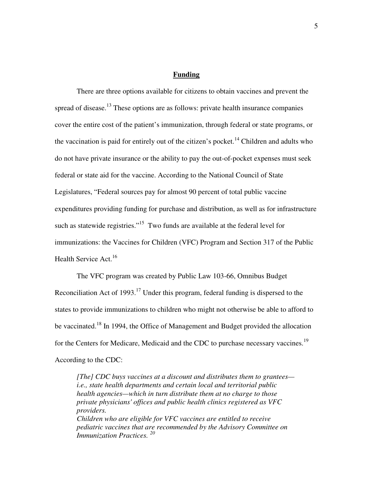#### **Funding**

There are three options available for citizens to obtain vaccines and prevent the spread of disease.<sup>13</sup> These options are as follows: private health insurance companies cover the entire cost of the patient's immunization, through federal or state programs, or the vaccination is paid for entirely out of the citizen's pocket.<sup>14</sup> Children and adults who do not have private insurance or the ability to pay the out-of-pocket expenses must seek federal or state aid for the vaccine. According to the National Council of State Legislatures, "Federal sources pay for almost 90 percent of total public vaccine expenditures providing funding for purchase and distribution, as well as for infrastructure such as statewide registries."<sup>15</sup> Two funds are available at the federal level for immunizations: the Vaccines for Children (VFC) Program and Section 317 of the Public Health Service Act.<sup>16</sup>

 The VFC program was created by Public Law 103-66, Omnibus Budget Reconciliation Act of 1993.<sup>17</sup> Under this program, federal funding is dispersed to the states to provide immunizations to children who might not otherwise be able to afford to be vaccinated.<sup>18</sup> In 1994, the Office of Management and Budget provided the allocation for the Centers for Medicare, Medicaid and the CDC to purchase necessary vaccines.<sup>19</sup> According to the CDC:

*[The] CDC buys vaccines at a discount and distributes them to grantees i.e., state health departments and certain local and territorial public health agencies—which in turn distribute them at no charge to those private physicians' offices and public health clinics registered as VFC providers. Children who are eligible for VFC vaccines are entitled to receive pediatric vaccines that are recommended by the Advisory Committee on Immunization Practices. <sup>20</sup>*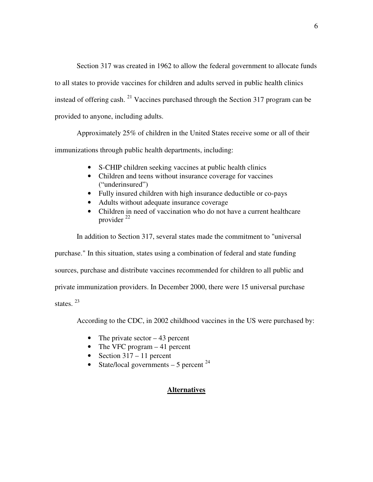Section 317 was created in 1962 to allow the federal government to allocate funds to all states to provide vaccines for children and adults served in public health clinics instead of offering cash.  $^{21}$  Vaccines purchased through the Section 317 program can be provided to anyone, including adults.

Approximately 25% of children in the United States receive some or all of their immunizations through public health departments, including:

- S-CHIP children seeking vaccines at public health clinics
- Children and teens without insurance coverage for vaccines ("underinsured")
- Fully insured children with high insurance deductible or co-pays
- Adults without adequate insurance coverage
- Children in need of vaccination who do not have a current healthcare provider  $^{22}$

In addition to Section 317, several states made the commitment to "universal purchase." In this situation, states using a combination of federal and state funding sources, purchase and distribute vaccines recommended for children to all public and

private immunization providers. In December 2000, there were 15 universal purchase

states.<sup>23</sup>

According to the CDC, in 2002 childhood vaccines in the US were purchased by:

- The private sector  $-43$  percent
- The VFC program 41 percent
- Section  $317 11$  percent
- State/local governments  $-5$  percent  $24$

#### **Alternatives**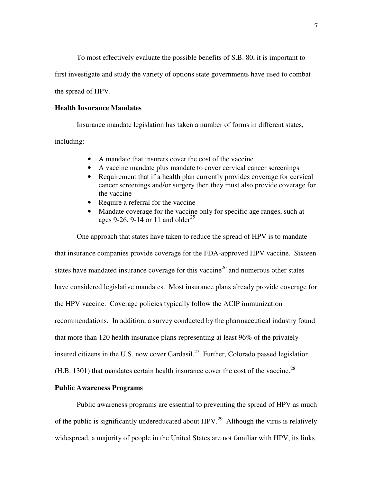To most effectively evaluate the possible benefits of S.B. 80, it is important to

first investigate and study the variety of options state governments have used to combat

the spread of HPV.

#### **Health Insurance Mandates**

Insurance mandate legislation has taken a number of forms in different states, including:

- A mandate that insurers cover the cost of the vaccine
- A vaccine mandate plus mandate to cover cervical cancer screenings
- Requirement that if a health plan currently provides coverage for cervical cancer screenings and/or surgery then they must also provide coverage for the vaccine
- Require a referral for the vaccine
- Mandate coverage for the vaccine only for specific age ranges, such at ages 9-26, 9-14 or 11 and older<sup>25</sup>

One approach that states have taken to reduce the spread of HPV is to mandate that insurance companies provide coverage for the FDA-approved HPV vaccine. Sixteen states have mandated insurance coverage for this vaccine<sup>26</sup> and numerous other states have considered legislative mandates. Most insurance plans already provide coverage for the HPV vaccine. Coverage policies typically follow the ACIP immunization recommendations. In addition, a survey conducted by the pharmaceutical industry found that more than 120 health insurance plans representing at least 96% of the privately insured citizens in the U.S. now cover Gardasil.<sup>27</sup> Further, Colorado passed legislation  $(H.B. 1301)$  that mandates certain health insurance cover the cost of the vaccine.<sup>28</sup>

#### **Public Awareness Programs**

Public awareness programs are essential to preventing the spread of HPV as much of the public is significantly undereducated about  $HPV<sup>29</sup>$ . Although the virus is relatively widespread, a majority of people in the United States are not familiar with HPV, its links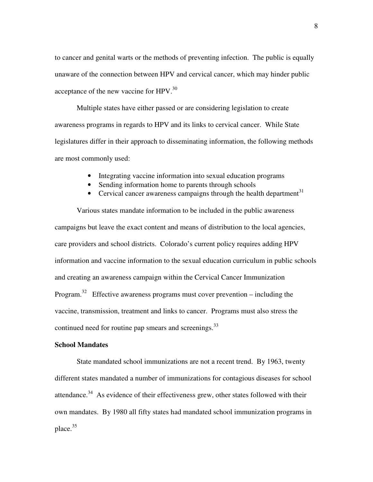to cancer and genital warts or the methods of preventing infection. The public is equally unaware of the connection between HPV and cervical cancer, which may hinder public acceptance of the new vaccine for  $HPV<sup>30</sup>$ .

Multiple states have either passed or are considering legislation to create awareness programs in regards to HPV and its links to cervical cancer. While State legislatures differ in their approach to disseminating information, the following methods are most commonly used:

- Integrating vaccine information into sexual education programs
- Sending information home to parents through schools
- Cervical cancer awareness campaigns through the health department<sup>31</sup>

Various states mandate information to be included in the public awareness campaigns but leave the exact content and means of distribution to the local agencies, care providers and school districts. Colorado's current policy requires adding HPV information and vaccine information to the sexual education curriculum in public schools and creating an awareness campaign within the Cervical Cancer Immunization Program.<sup>32</sup> Effective awareness programs must cover prevention – including the vaccine, transmission, treatment and links to cancer. Programs must also stress the continued need for routine pap smears and screenings.<sup>33</sup>

#### **School Mandates**

State mandated school immunizations are not a recent trend. By 1963, twenty different states mandated a number of immunizations for contagious diseases for school attendance.<sup>34</sup> As evidence of their effectiveness grew, other states followed with their own mandates. By 1980 all fifty states had mandated school immunization programs in place.<sup>35</sup>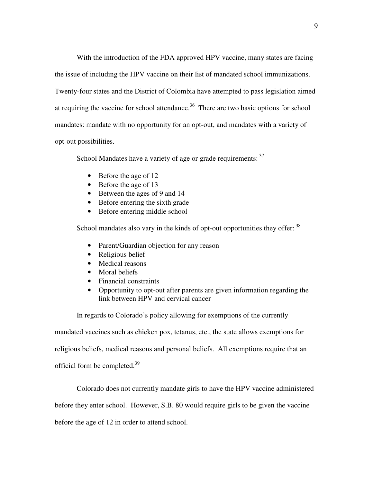With the introduction of the FDA approved HPV vaccine, many states are facing the issue of including the HPV vaccine on their list of mandated school immunizations. Twenty-four states and the District of Colombia have attempted to pass legislation aimed at requiring the vaccine for school attendance.<sup>36</sup> There are two basic options for school mandates: mandate with no opportunity for an opt-out, and mandates with a variety of opt-out possibilities.

School Mandates have a variety of age or grade requirements:  $37$ 

- Before the age of 12
- Before the age of 13
- Between the ages of 9 and 14
- Before entering the sixth grade
- Before entering middle school

School mandates also vary in the kinds of opt-out opportunities they offer:  $38$ 

- Parent/Guardian objection for any reason
- Religious belief
- Medical reasons
- Moral beliefs
- Financial constraints
- Opportunity to opt-out after parents are given information regarding the link between HPV and cervical cancer

In regards to Colorado's policy allowing for exemptions of the currently

mandated vaccines such as chicken pox, tetanus, etc., the state allows exemptions for religious beliefs, medical reasons and personal beliefs. All exemptions require that an official form be completed.<sup>39</sup>

Colorado does not currently mandate girls to have the HPV vaccine administered before they enter school. However, S.B. 80 would require girls to be given the vaccine before the age of 12 in order to attend school.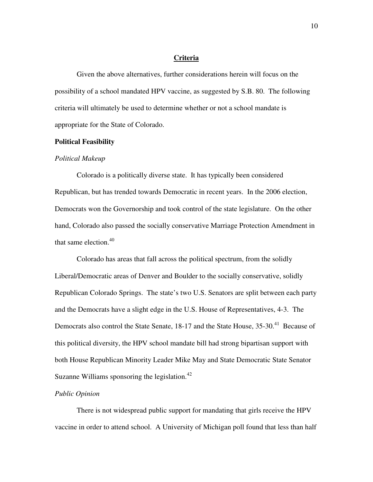#### **Criteria**

 Given the above alternatives, further considerations herein will focus on the possibility of a school mandated HPV vaccine, as suggested by S.B. 80. The following criteria will ultimately be used to determine whether or not a school mandate is appropriate for the State of Colorado.

#### **Political Feasibility**

#### *Political Makeup*

Colorado is a politically diverse state. It has typically been considered Republican, but has trended towards Democratic in recent years. In the 2006 election, Democrats won the Governorship and took control of the state legislature. On the other hand, Colorado also passed the socially conservative Marriage Protection Amendment in that same election. $40$ 

Colorado has areas that fall across the political spectrum, from the solidly Liberal/Democratic areas of Denver and Boulder to the socially conservative, solidly Republican Colorado Springs. The state's two U.S. Senators are split between each party and the Democrats have a slight edge in the U.S. House of Representatives, 4-3. The Democrats also control the State Senate, 18-17 and the State House, 35-30.<sup>41</sup> Because of this political diversity, the HPV school mandate bill had strong bipartisan support with both House Republican Minority Leader Mike May and State Democratic State Senator Suzanne Williams sponsoring the legislation. $42$ 

#### *Public Opinion*

There is not widespread public support for mandating that girls receive the HPV vaccine in order to attend school. A University of Michigan poll found that less than half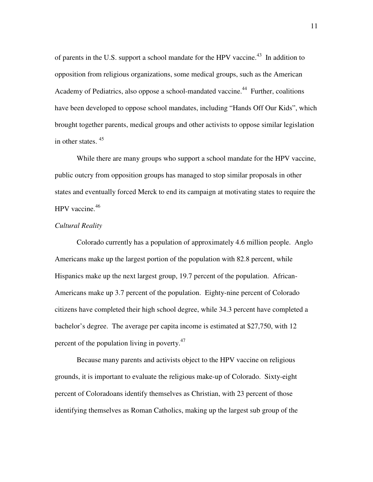of parents in the U.S. support a school mandate for the HPV vaccine.<sup>43</sup> In addition to opposition from religious organizations, some medical groups, such as the American Academy of Pediatrics, also oppose a school-mandated vaccine.<sup>44</sup> Further, coalitions have been developed to oppose school mandates, including "Hands Off Our Kids", which brought together parents, medical groups and other activists to oppose similar legislation in other states. <sup>45</sup>

While there are many groups who support a school mandate for the HPV vaccine, public outcry from opposition groups has managed to stop similar proposals in other states and eventually forced Merck to end its campaign at motivating states to require the HPV vaccine.<sup>46</sup>

#### *Cultural Reality*

 Colorado currently has a population of approximately 4.6 million people. Anglo Americans make up the largest portion of the population with 82.8 percent, while Hispanics make up the next largest group, 19.7 percent of the population. African-Americans make up 3.7 percent of the population. Eighty-nine percent of Colorado citizens have completed their high school degree, while 34.3 percent have completed a bachelor's degree. The average per capita income is estimated at \$27,750, with 12 percent of the population living in poverty.<sup>47</sup>

Because many parents and activists object to the HPV vaccine on religious grounds, it is important to evaluate the religious make-up of Colorado. Sixty-eight percent of Coloradoans identify themselves as Christian, with 23 percent of those identifying themselves as Roman Catholics, making up the largest sub group of the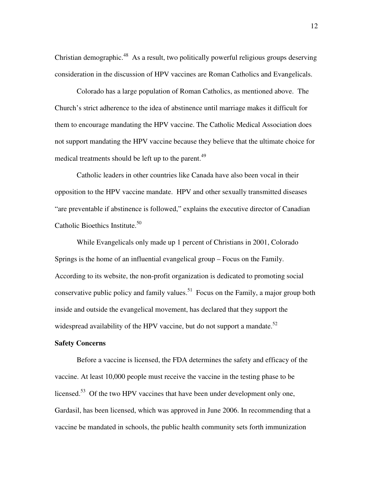Christian demographic.<sup>48</sup> As a result, two politically powerful religious groups deserving consideration in the discussion of HPV vaccines are Roman Catholics and Evangelicals.

Colorado has a large population of Roman Catholics, as mentioned above. The Church's strict adherence to the idea of abstinence until marriage makes it difficult for them to encourage mandating the HPV vaccine. The Catholic Medical Association does not support mandating the HPV vaccine because they believe that the ultimate choice for medical treatments should be left up to the parent.<sup>49</sup>

Catholic leaders in other countries like Canada have also been vocal in their opposition to the HPV vaccine mandate. HPV and other sexually transmitted diseases "are preventable if abstinence is followed," explains the executive director of Canadian Catholic Bioethics Institute.<sup>50</sup>

While Evangelicals only made up 1 percent of Christians in 2001, Colorado Springs is the home of an influential evangelical group – Focus on the Family. According to its website, the non-profit organization is dedicated to promoting social conservative public policy and family values.<sup>51</sup> Focus on the Family, a major group both inside and outside the evangelical movement, has declared that they support the widespread availability of the HPV vaccine, but do not support a mandate.<sup>52</sup>

#### **Safety Concerns**

Before a vaccine is licensed, the FDA determines the safety and efficacy of the vaccine. At least 10,000 people must receive the vaccine in the testing phase to be licensed.<sup>53</sup> Of the two HPV vaccines that have been under development only one, Gardasil, has been licensed, which was approved in June 2006. In recommending that a vaccine be mandated in schools, the public health community sets forth immunization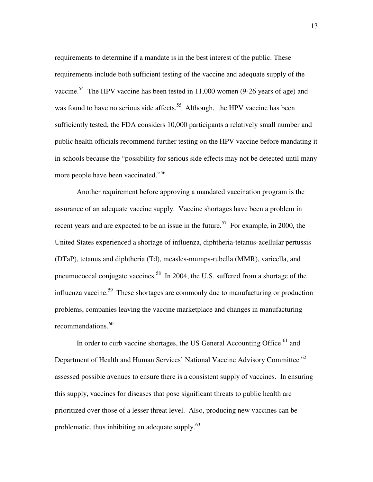requirements to determine if a mandate is in the best interest of the public. These requirements include both sufficient testing of the vaccine and adequate supply of the vaccine.<sup>54</sup> The HPV vaccine has been tested in 11,000 women (9-26 years of age) and was found to have no serious side affects.<sup>55</sup> Although, the HPV vaccine has been sufficiently tested, the FDA considers 10,000 participants a relatively small number and public health officials recommend further testing on the HPV vaccine before mandating it in schools because the "possibility for serious side effects may not be detected until many more people have been vaccinated."<sup>56</sup>

Another requirement before approving a mandated vaccination program is the assurance of an adequate vaccine supply. Vaccine shortages have been a problem in recent years and are expected to be an issue in the future.<sup>57</sup> For example, in 2000, the United States experienced a shortage of influenza, diphtheria-tetanus-acellular pertussis (DTaP), tetanus and diphtheria (Td), measles-mumps-rubella (MMR), varicella, and pneumococcal conjugate vaccines.<sup>58</sup> In 2004, the U.S. suffered from a shortage of the influenza vaccine.<sup>59</sup> These shortages are commonly due to manufacturing or production problems, companies leaving the vaccine marketplace and changes in manufacturing recommendations.<sup>60</sup>

In order to curb vaccine shortages, the US General Accounting Office <sup>61</sup> and Department of Health and Human Services' National Vaccine Advisory Committee <sup>62</sup> assessed possible avenues to ensure there is a consistent supply of vaccines. In ensuring this supply, vaccines for diseases that pose significant threats to public health are prioritized over those of a lesser threat level. Also, producing new vaccines can be problematic, thus inhibiting an adequate supply.<sup>63</sup>

13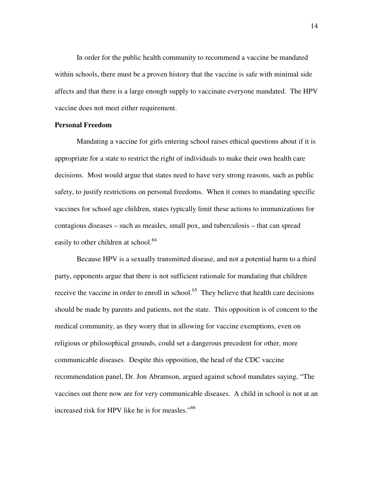In order for the public health community to recommend a vaccine be mandated within schools, there must be a proven history that the vaccine is safe with minimal side affects and that there is a large enough supply to vaccinate everyone mandated. The HPV vaccine does not meet either requirement.

#### **Personal Freedom**

Mandating a vaccine for girls entering school raises ethical questions about if it is appropriate for a state to restrict the right of individuals to make their own health care decisions. Most would argue that states need to have very strong reasons, such as public safety, to justify restrictions on personal freedoms. When it comes to mandating specific vaccines for school age children, states typically limit these actions to immunizations for contagious diseases – such as measles, small pox, and tuberculosis – that can spread easily to other children at school.<sup>64</sup>

Because HPV is a sexually transmitted disease, and not a potential harm to a third party, opponents argue that there is not sufficient rationale for mandating that children receive the vaccine in order to enroll in school.<sup>65</sup> They believe that health care decisions should be made by parents and patients, not the state. This opposition is of concern to the medical community, as they worry that in allowing for vaccine exemptions, even on religious or philosophical grounds, could set a dangerous precedent for other, more communicable diseases. Despite this opposition, the head of the CDC vaccine recommendation panel, Dr. Jon Abramson, argued against school mandates saying, "The vaccines out there now are for very communicable diseases. A child in school is not at an increased risk for HPV like he is for measles."<sup>66</sup>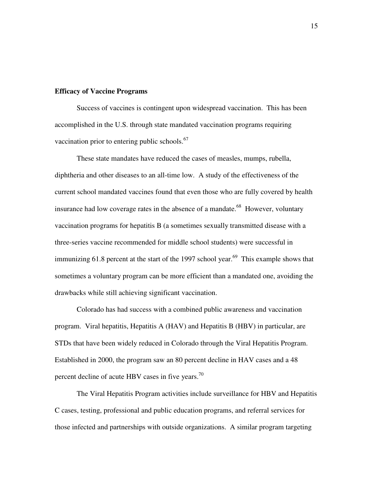#### **Efficacy of Vaccine Programs**

Success of vaccines is contingent upon widespread vaccination. This has been accomplished in the U.S. through state mandated vaccination programs requiring vaccination prior to entering public schools.<sup>67</sup>

These state mandates have reduced the cases of measles, mumps, rubella, diphtheria and other diseases to an all-time low. A study of the effectiveness of the current school mandated vaccines found that even those who are fully covered by health insurance had low coverage rates in the absence of a mandate.<sup>68</sup> However, voluntary vaccination programs for hepatitis B (a sometimes sexually transmitted disease with a three-series vaccine recommended for middle school students) were successful in immunizing  $61.8$  percent at the start of the 1997 school year.<sup>69</sup> This example shows that sometimes a voluntary program can be more efficient than a mandated one, avoiding the drawbacks while still achieving significant vaccination.

Colorado has had success with a combined public awareness and vaccination program. Viral hepatitis, Hepatitis A (HAV) and Hepatitis B (HBV) in particular, are STDs that have been widely reduced in Colorado through the Viral Hepatitis Program. Established in 2000, the program saw an 80 percent decline in HAV cases and a 48 percent decline of acute HBV cases in five years.<sup>70</sup>

The Viral Hepatitis Program activities include surveillance for HBV and Hepatitis C cases, testing, professional and public education programs, and referral services for those infected and partnerships with outside organizations. A similar program targeting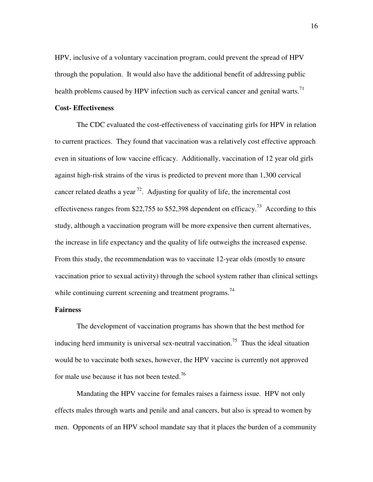HPV, inclusive of a voluntary vaccination program, could prevent the spread of HPV through the population. It would also have the additional benefit of addressing public health problems caused by HPV infection such as cervical cancer and genital warts.<sup>71</sup>

#### **Cost- Effectiveness**

 The CDC evaluated the cost-effectiveness of vaccinating girls for HPV in relation to current practices. They found that vaccination was a relatively cost effective approach even in situations of low vaccine efficacy. Additionally, vaccination of 12 year old girls against high-risk strains of the virus is predicted to prevent more than 1,300 cervical cancer related deaths a year<sup>72</sup>. Adjusting for quality of life, the incremental cost effectiveness ranges from \$22,755 to \$52,398 dependent on efficacy.<sup>73</sup> According to this study, although a vaccination program will be more expensive then current alternatives, the increase in life expectancy and the quality of life outweighs the increased expense. From this study, the recommendation was to vaccinate 12-year olds (mostly to ensure vaccination prior to sexual activity) through the school system rather than clinical settings while continuing current screening and treatment programs.<sup>74</sup>

#### **Fairness**

The development of vaccination programs has shown that the best method for inducing herd immunity is universal sex-neutral vaccination.<sup>75</sup> Thus the ideal situation would be to vaccinate both sexes, however, the HPV vaccine is currently not approved for male use because it has not been tested.<sup>76</sup>

Mandating the HPV vaccine for females raises a fairness issue. HPV not only effects males through warts and penile and anal cancers, but also is spread to women by men. Opponents of an HPV school mandate say that it places the burden of a community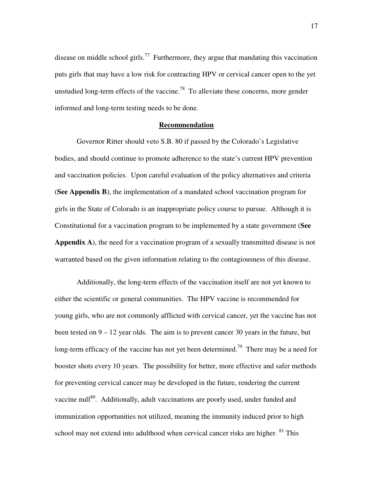disease on middle school girls.<sup>77</sup> Furthermore, they argue that mandating this vaccination puts girls that may have a low risk for contracting HPV or cervical cancer open to the yet unstudied long-term effects of the vaccine.<sup>78</sup> To alleviate these concerns, more gender informed and long-term testing needs to be done.

#### **Recommendation**

Governor Ritter should veto S.B. 80 if passed by the Colorado's Legislative bodies, and should continue to promote adherence to the state's current HPV prevention and vaccination policies. Upon careful evaluation of the policy alternatives and criteria (**See Appendix B**), the implementation of a mandated school vaccination program for girls in the State of Colorado is an inappropriate policy course to pursue. Although it is Constitutional for a vaccination program to be implemented by a state government (**See Appendix A**), the need for a vaccination program of a sexually transmitted disease is not warranted based on the given information relating to the contagiousness of this disease.

Additionally, the long-term effects of the vaccination itself are not yet known to either the scientific or general communities. The HPV vaccine is recommended for young girls, who are not commonly afflicted with cervical cancer, yet the vaccine has not been tested on  $9 - 12$  year olds. The aim is to prevent cancer 30 years in the future, but long-term efficacy of the vaccine has not yet been determined.<sup>79</sup> There may be a need for booster shots every 10 years. The possibility for better, more effective and safer methods for preventing cervical cancer may be developed in the future, rendering the current vaccine null<sup>80</sup>. Additionally, adult vaccinations are poorly used, under funded and immunization opportunities not utilized, meaning the immunity induced prior to high school may not extend into adulthood when cervical cancer risks are higher.  $81$  This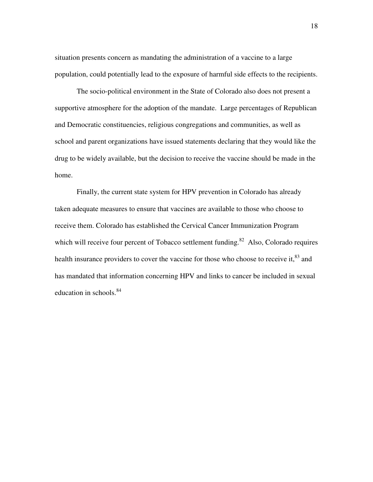situation presents concern as mandating the administration of a vaccine to a large population, could potentially lead to the exposure of harmful side effects to the recipients.

The socio-political environment in the State of Colorado also does not present a supportive atmosphere for the adoption of the mandate. Large percentages of Republican and Democratic constituencies, religious congregations and communities, as well as school and parent organizations have issued statements declaring that they would like the drug to be widely available, but the decision to receive the vaccine should be made in the home.

Finally, the current state system for HPV prevention in Colorado has already taken adequate measures to ensure that vaccines are available to those who choose to receive them. Colorado has established the Cervical Cancer Immunization Program which will receive four percent of Tobacco settlement funding.<sup>82</sup> Also, Colorado requires health insurance providers to cover the vaccine for those who choose to receive it,  $^{83}$  and has mandated that information concerning HPV and links to cancer be included in sexual education in schools.<sup>84</sup>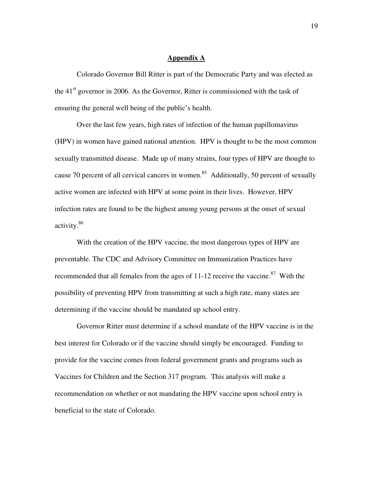#### **Appendix A**

Colorado Governor Bill Ritter is part of the Democratic Party and was elected as the  $41<sup>st</sup>$  governor in 2006. As the Governor, Ritter is commissioned with the task of ensuring the general well being of the public's health.

Over the last few years, high rates of infection of the human papillomavirus (HPV) in women have gained national attention. HPV is thought to be the most common sexually transmitted disease. Made up of many strains, four types of HPV are thought to cause 70 percent of all cervical cancers in women.<sup>85</sup> Additionally, 50 percent of sexually active women are infected with HPV at some point in their lives. However, HPV infection rates are found to be the highest among young persons at the onset of sexual activity.<sup>86</sup>

With the creation of the HPV vaccine, the most dangerous types of HPV are preventable. The CDC and Advisory Committee on Immunization Practices have recommended that all females from the ages of  $11-12$  receive the vaccine.<sup>87</sup> With the possibility of preventing HPV from transmitting at such a high rate, many states are determining if the vaccine should be mandated up school entry.

Governor Ritter must determine if a school mandate of the HPV vaccine is in the best interest for Colorado or if the vaccine should simply be encouraged. Funding to provide for the vaccine comes from federal government grants and programs such as Vaccines for Children and the Section 317 program. This analysis will make a recommendation on whether or not mandating the HPV vaccine upon school entry is beneficial to the state of Colorado.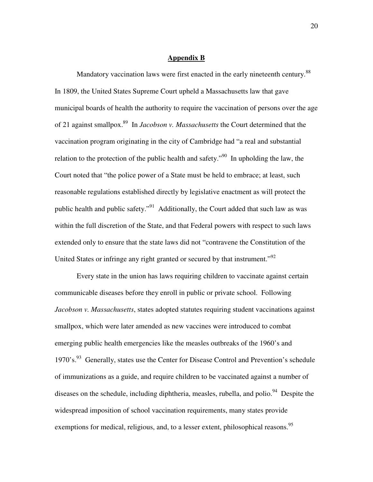#### **Appendix B**

Mandatory vaccination laws were first enacted in the early nineteenth century.<sup>88</sup> In 1809, the United States Supreme Court upheld a Massachusetts law that gave municipal boards of health the authority to require the vaccination of persons over the age of 21 against smallpox.<sup>89</sup> In *Jacobson v. Massachusetts* the Court determined that the vaccination program originating in the city of Cambridge had "a real and substantial relation to the protection of the public health and safety."<sup>90</sup> In upholding the law, the Court noted that "the police power of a State must be held to embrace; at least, such reasonable regulations established directly by legislative enactment as will protect the public health and public safety."<sup>91</sup> Additionally, the Court added that such law as was within the full discretion of the State, and that Federal powers with respect to such laws extended only to ensure that the state laws did not "contravene the Constitution of the United States or infringe any right granted or secured by that instrument."<sup>92</sup>

Every state in the union has laws requiring children to vaccinate against certain communicable diseases before they enroll in public or private school. Following *Jacobson v. Massachusetts*, states adopted statutes requiring student vaccinations against smallpox, which were later amended as new vaccines were introduced to combat emerging public health emergencies like the measles outbreaks of the 1960's and 1970's.<sup>93</sup> Generally, states use the Center for Disease Control and Prevention's schedule of immunizations as a guide, and require children to be vaccinated against a number of diseases on the schedule, including diphtheria, measles, rubella, and polio.<sup>94</sup> Despite the widespread imposition of school vaccination requirements, many states provide exemptions for medical, religious, and, to a lesser extent, philosophical reasons.<sup>95</sup>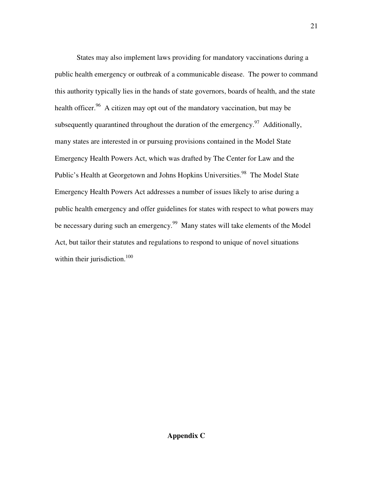States may also implement laws providing for mandatory vaccinations during a public health emergency or outbreak of a communicable disease. The power to command this authority typically lies in the hands of state governors, boards of health, and the state health officer.<sup>96</sup> A citizen may opt out of the mandatory vaccination, but may be subsequently quarantined throughout the duration of the emergency.<sup>97</sup> Additionally, many states are interested in or pursuing provisions contained in the Model State Emergency Health Powers Act, which was drafted by The Center for Law and the Public's Health at Georgetown and Johns Hopkins Universities.<sup>98</sup> The Model State Emergency Health Powers Act addresses a number of issues likely to arise during a public health emergency and offer guidelines for states with respect to what powers may be necessary during such an emergency.<sup>99</sup> Many states will take elements of the Model Act, but tailor their statutes and regulations to respond to unique of novel situations within their jurisdiction.<sup>100</sup>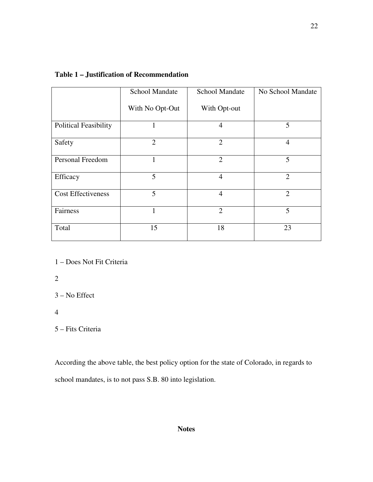|                              | <b>School Mandate</b> | <b>School Mandate</b> | No School Mandate |
|------------------------------|-----------------------|-----------------------|-------------------|
|                              | With No Opt-Out       | With Opt-out          |                   |
| <b>Political Feasibility</b> |                       | $\overline{4}$        | 5                 |
| Safety                       | $\overline{2}$        | $\overline{2}$        | $\overline{4}$    |
| Personal Freedom             |                       | $\overline{2}$        | 5                 |
| Efficacy                     | 5                     | $\overline{4}$        | $\overline{2}$    |
| <b>Cost Effectiveness</b>    | 5                     | $\overline{4}$        | $\overline{2}$    |
| Fairness                     | 1                     | $\overline{2}$        | 5                 |
| Total                        | 15                    | 18                    | 23                |

### **Table 1 – Justification of Recommendation**

1 – Does Not Fit Criteria

2

3 – No Effect

4

5 – Fits Criteria

According the above table, the best policy option for the state of Colorado, in regards to school mandates, is to not pass S.B. 80 into legislation.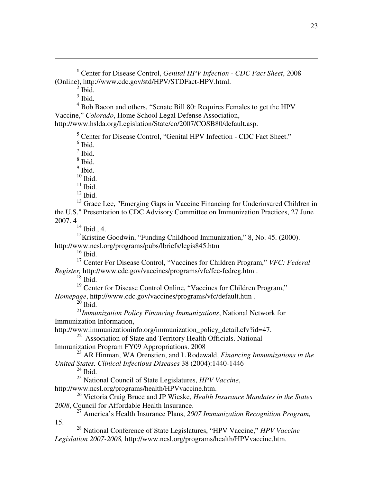**<sup>1</sup>** Center for Disease Control, *Genital HPV Infection - CDC Fact Sheet*, 2008 (Online), http://www.cdc.gov/std/HPV/STDFact-HPV.html.

 $^{2}$  Ibid.

 $\overline{a}$ 

 $3$  Ibid.

<sup>4</sup> Bob Bacon and others, "Senate Bill 80: Requires Females to get the HPV Vaccine," *Colorado*, Home School Legal Defense Association, http://www.hslda.org/Legislation/State/co/2007/COSB80/default.asp.

<sup>5</sup> Center for Disease Control, "Genital HPV Infection - CDC Fact Sheet."

 $<sup>6</sup>$  Ibid.</sup>

 $<sup>7</sup>$  Ibid.</sup> 8 Ibid.

<sup>9</sup> Ibid.

 $10$  Ibid.

 $^{\rm 11}$  Ibid.

 $12$  Ibid.

<sup>13</sup> Grace Lee, "Emerging Gaps in Vaccine Financing for Underinsured Children in the U.S," Presentation to CDC Advisory Committee on Immunization Practices, 27 June 2007. 4

 $14$  Ibid., 4.

<sup>15</sup>Kristine Goodwin, "Funding Childhood Immunization," 8, No. 45. (2000). http://www.ncsl.org/programs/pubs/lbriefs/legis845.htm

 $16$  Ibid.

<sup>17</sup> Center For Disease Control, "Vaccines for Children Program," *VFC: Federal Register,* http://www.cdc.gov/vaccines/programs/vfc/fee-fedreg.htm .

 $18$  Ibid.

<sup>19</sup> Center for Disease Control Online, "Vaccines for Children Program,"

*Homepage*, http://www.cdc.gov/vaccines/programs/vfc/default.htm *.* 

 $^{20}$  Ibid.

<sup>21</sup>*Immunization Policy Financing Immunizations*, National Network for Immunization Information,

http://www.immunizationinfo.org/immunization\_policy\_detail.cfv?id=47.

<sup>22</sup> Association of State and Territory Health Officials. National

Immunization Program FY09 Appropriations. 2008

<sup>23</sup> AR Hinman, WA Orenstien, and L Rodewald, *Financing Immunizations in the United States. Clinical Infectious Diseases* 38 (2004):1440-1446

 $^{24}$  Ibid.

15.

<sup>25</sup> National Council of State Legislatures, *HPV Vaccine*, http://www.ncsl.org/programs/health/HPVvaccine.htm.

<sup>26</sup> Victoria Craig Bruce and JP Wieske, *Health Insurance Mandates in the States 2008*, Council for Affordable Health Insurance.

<sup>27</sup> America's Health Insurance Plans, *2007 Immunization Recognition Program,* 

<sup>28</sup> National Conference of State Legislatures, "HPV Vaccine," *HPV Vaccine Legislation 2007-2008,* http://www.ncsl.org/programs/health/HPVvaccine.htm.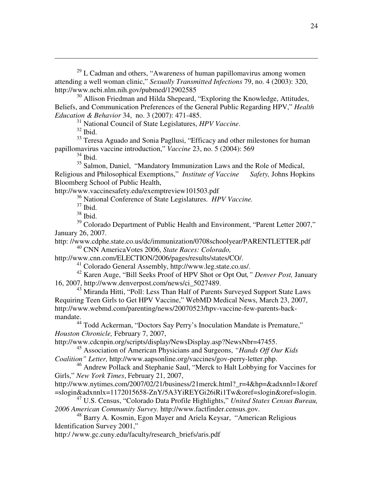$29$  L Cadman and others, "Awareness of human papillomavirus among women attending a well woman clinic," *Sexually Transmitted Infections* 79, no. 4 (2003): 320, http://www.ncbi.nlm.nih.gov/pubmed/12902585

 $30$  Allison Friedman and Hilda Shepeard, "Exploring the Knowledge, Attitudes, Beliefs, and Communication Preferences of the General Public Regarding HPV," *Health Education & Behavior* 34, no. 3 (2007): 471-485.

<sup>31</sup> National Council of State Legislatures, *HPV Vaccine*.

 $32$  Ibid.

 $\overline{a}$ 

<sup>33</sup> Teresa Aguado and Sonia Pagllusi, "Efficacy and other milestones for human papillomavirus vaccine introduction," *Vaccine* 23, no. 5 (2004): 569

 $34$  Ibid.

<sup>35</sup> Salmon, Daniel, "Mandatory Immunization Laws and the Role of Medical, Religious and Philosophical Exemptions," *Institute of Vaccine Safety,* Johns Hopkins Bloomberg School of Public Health,

http://www.vaccinesafety.edu/exemptreview101503.pdf

<sup>36</sup> National Conference of State Legislatures. *HPV Vaccine.*

 $37$  Ibid.

<sup>38</sup> Ibid.

<sup>39</sup> Colorado Department of Public Health and Environment, "Parent Letter 2007," January 26, 2007.

http: //www.cdphe.state.co.us/dc/immunization/0708schoolyear/PARENTLETTER.pdf <sup>40</sup> CNN AmericaVotes 2006, *State Races: Colorado,* 

http://www.cnn.com/ELECTION/2006/pages/results/states/CO/.

<sup>41</sup> Colorado General Assembly, http://www.leg.state.co.us/.

<sup>42</sup> Karen Auge, "Bill Seeks Proof of HPV Shot or Opt Out*," Denver Post,* January 16, 2007, http://www.denverpost.com/news/ci\_5027489.

<sup>43</sup> Miranda Hitti, "Poll: Less Than Half of Parents Surveyed Support State Laws Requiring Teen Girls to Get HPV Vaccine," WebMD Medical News, March 23, 2007, http://www.webmd.com/parenting/news/20070523/hpv-vaccine-few-parents-backmandate.

<sup>44</sup> Todd Ackerman, "Doctors Say Perry's Inoculation Mandate is Premature," *Houston Chronicle,* February 7, 2007,

http://www.cdcnpin.org/scripts/display/NewsDisplay.asp?NewsNbr=47455.

<sup>45</sup> Association of American Physicians and Surgeons, *"Hands Off Our Kids Coalition" Letter,* http://www.aapsonline.org/vaccines/gov-perry-letter.php.

<sup>46</sup> Andrew Pollack and Stephanie Saul, "Merck to Halt Lobbying for Vaccines for Girls," *New York Times*, February 21, 2007,

http://www.nytimes.com/2007/02/21/business/21merck.html?\_r=4&hp=&adxnnl=1&oref =slogin&adxnnlx=1172015658-ZnY/5A3YiREYGi26iRi1Tw&oref=slogin&oref=slogin.

<sup>47</sup> U.S. Census, "Colorado Data Profile Highlights," *United States Census Bureau, 2006 American Community Survey.* http://www.factfinder.census.gov.

<sup>48</sup> Barry A. Kosmin, Egon Mayer and Ariela Keysar, "American Religious Identification Survey 2001,"

http:/ /www.gc.cuny.edu/faculty/research\_briefs/aris.pdf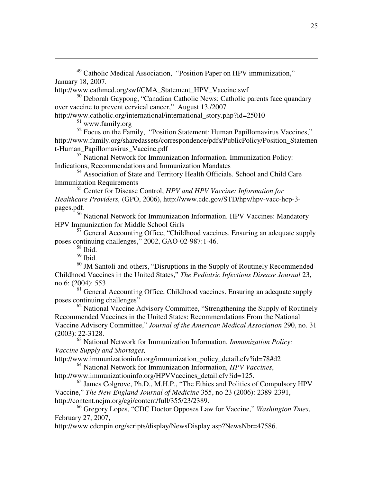<sup>49</sup> Catholic Medical Association, "Position Paper on HPV immunization," January 18, 2007.

http://www.cathmed.org/swf/CMA\_Statement\_HPV\_Vaccine.swf

<sup>50</sup> Deborah Gaypong, "Canadian Catholic News: Catholic parents face quandary over vaccine to prevent cervical cancer," August 13,/2007 http://www.catholic.org/international/international\_story.php?id=25010

 $51$  www.family.org

 $\overline{a}$ 

<sup>52</sup> Focus on the Family, "Position Statement: Human Papillomavirus Vaccines," http://www.family.org/sharedassets/correspondence/pdfs/PublicPolicy/Position\_Statemen t-Human\_Papillomavirus\_Vaccine.pdf

<sup>53</sup> National Network for Immunization Information. Immunization Policy: Indications, Recommendations and Immunization Mandates

<sup>54</sup> Association of State and Territory Health Officials. School and Child Care Immunization Requirements

<sup>55</sup> Center for Disease Control, *HPV and HPV Vaccine: Information for Healthcare Providers,* (GPO, 2006), http://www.cdc.gov/STD/hpv/hpv-vacc-hcp-3 pages.pdf.

<sup>56</sup> National Network for Immunization Information. HPV Vaccines: Mandatory HPV Immunization for Middle School Girls

<sup>57</sup> General Accounting Office, "Childhood vaccines. Ensuring an adequate supply poses continuing challenges," 2002, GAO-02-987:1-46.

 $58$  Ibid.

 $59$  Ibid.

 $60$  JM Santoli and others, "Disruptions in the Supply of Routinely Recommended Childhood Vaccines in the United States," *The Pediatric Infectious Disease Journal* 23, no.6: (2004): 553

<sup>61</sup> General Accounting Office, Childhood vaccines. Ensuring an adequate supply poses continuing challenges"

 $62$  National Vaccine Advisory Committee, "Strengthening the Supply of Routinely Recommended Vaccines in the United States: Recommendations From the National Vaccine Advisory Committee," *Journal of the American Medical Association* 290, no. 31 (2003): 22-3128.

<sup>63</sup> National Network for Immunization Information, *Immunization Policy: Vaccine Supply and Shortages,*

http://www.immunizationinfo.org/immunization\_policy\_detail.cfv?id=78#d2

<sup>64</sup> National Network for Immunization Information, *HPV Vaccines*,

http://www.immunizationinfo.org/HPVVaccines\_detail.cfv?id=125.

<sup>65</sup> James Colgrove, Ph.D., M.H.P., "The Ethics and Politics of Compulsory HPV Vaccine," *The New England Journal of Medicine* 355, no 23 (2006): 2389-2391, http://content.nejm.org/cgi/content/full/355/23/2389.

<sup>66</sup> Gregory Lopes, "CDC Doctor Opposes Law for Vaccine," *Washington Tmes*, February 27, 2007,

http://www.cdcnpin.org/scripts/display/NewsDisplay.asp?NewsNbr=47586.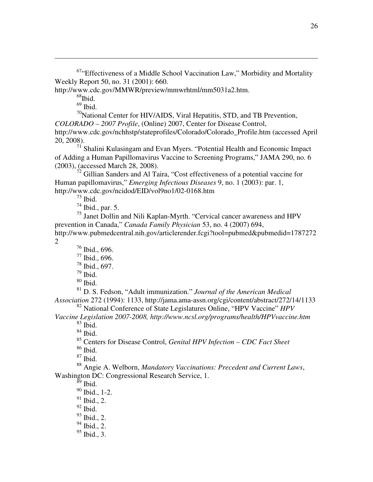$67$ "Effectiveness of a Middle School Vaccination Law," Morbidity and Mortality Weekly Report 50, no. 31 (2001): 660.

http://www.cdc.gov/MMWR/preview/mmwrhtml/mm5031a2.htm.

 $68$ Ibid.

 $\overline{a}$ 

 $69$  Ibid.

 $^{70}$ National Center for HIV/AIDS, Viral Hepatitis, STD, and TB Prevention, *COLORADO – 2007 Profile*, (Online) 2007, Center for Disease Control, http://www.cdc.gov/nchhstp/stateprofiles/Colorado/Colorado\_Profile.htm (accessed April 20, 2008).

 $7<sup>1</sup>$  Shalini Kulasingam and Evan Myers. "Potential Health and Economic Impact of Adding a Human Papillomavirus Vaccine to Screening Programs," JAMA 290, no. 6 (2003), (accessed March 28, 2008).

 $72$  Gillian Sanders and Al Taira, "Cost effectiveness of a potential vaccine for Human papillomavirus," *Emerging Infectious Diseases* 9, no. 1 (2003): par. 1, http://www.cdc.gov/ncidod/EID/vol9no1/02-0168.htm

 $^{73}$  Ibid.

 $74$  Ibid., par. 5.

<sup>75</sup> Janet Dollin and Nili Kaplan-Myrth. "Cervical cancer awareness and HPV prevention in Canada," *Canada Family Physician* 53, no. 4 (2007) 694, http://www.pubmedcentral.nih.gov/articlerender.fcgi?tool=pubmed&pubmedid=1787272 2

- <sup>76</sup> Ibid., 696.
- <sup>77</sup> Ibid., 696.
- <sup>78</sup> Ibid., 697.
- $79$  Ibid.
- $80$  Ibid.

<sup>81</sup> D. S. Fedson, "Adult immunization." *Journal of the American Medical Association* 272 (1994): 1133, http://jama.ama-assn.org/cgi/content/abstract/272/14/1133

<sup>82</sup> National Conference of State Legislatures Online, "HPV Vaccine" *HPV* 

*Vaccine Legislation 2007-2008, http://www.ncsl.org/programs/health/HPVvaccine.htm*   $83$  Ibid.

 $^{84}$  Ibid.

<sup>85</sup> Centers for Disease Control, *Genital HPV Infection – CDC Fact Sheet*

<sup>86</sup> Ibid.

 $87$  Ibid.

<sup>88</sup> Angie A. Welborn, *Mandatory Vaccinations: Precedent and Current Laws*, Washington DC: Congressional Research Service, 1.

 $\frac{89}{9}$  Ibid.

- <sup>90</sup> Ibid., 1-2.
- $91$  Ibid., 2.
- $92$  Ibid.
- $93$  Ibid., 2.
- $94$  Ibid., 2.
- $95$  Ibid., 3.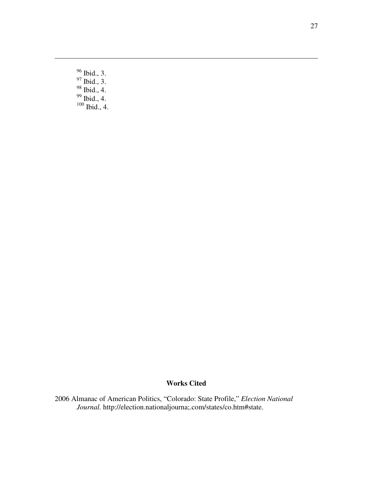<sup>96</sup> Ibid., 3.  $97$  Ibid., 3.

 $\overline{a}$ 

- <sup>98</sup> Ibid., 4.
- $99$  Ibid., 4.
- $100$  Ibid., 4.

# **Works Cited**

2006 Almanac of American Politics, "Colorado: State Profile," *Election National Journal.* http://election.nationaljourna;.com/states/co.htm#state.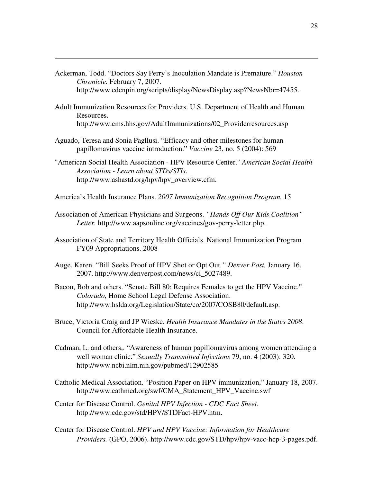Ackerman, Todd. "Doctors Say Perry's Inoculation Mandate is Premature." *Houston Chronicle.* February 7, 2007. http://www.cdcnpin.org/scripts/display/NewsDisplay.asp?NewsNbr=47455.

 $\overline{a}$ 

- Adult Immunization Resources for Providers. U.S. Department of Health and Human Resources. http://www.cms.hhs.gov/AdultImmunizations/02\_Providerresources.asp
- Aguado, Teresa and Sonia Pagllusi. "Efficacy and other milestones for human papillomavirus vaccine introduction." *Vaccine* 23, no. 5 (2004): 569
- "American Social Health Association HPV Resource Center." *American Social Health Association - Learn about STDs/STIs*. http://www.ashastd.org/hpv/hpv\_overview.cfm.
- America's Health Insurance Plans. *2007 Immunization Recognition Program.* 15
- Association of American Physicians and Surgeons. *"Hands Off Our Kids Coalition" Letter.* http://www.aapsonline.org/vaccines/gov-perry-letter.php.
- Association of State and Territory Health Officials. National Immunization Program FY09 Appropriations. 2008
- Auge, Karen. "Bill Seeks Proof of HPV Shot or Opt Out*." Denver Post,* January 16, 2007. http://www.denverpost.com/news/ci\_5027489.
- Bacon, Bob and others. "Senate Bill 80: Requires Females to get the HPV Vaccine." *Colorado*, Home School Legal Defense Association. http://www.hslda.org/Legislation/State/co/2007/COSB80/default.asp.
- Bruce, Victoria Craig and JP Wieske. *Health Insurance Mandates in the States 2008*. Council for Affordable Health Insurance.
- Cadman, L. and others,. "Awareness of human papillomavirus among women attending a well woman clinic." *Sexually Transmitted Infections* 79, no. 4 (2003): 320. http://www.ncbi.nlm.nih.gov/pubmed/12902585
- Catholic Medical Association. "Position Paper on HPV immunization," January 18, 2007. http://www.cathmed.org/swf/CMA\_Statement\_HPV\_Vaccine.swf
- Center for Disease Control. *Genital HPV Infection CDC Fact Sheet*. http://www.cdc.gov/std/HPV/STDFact-HPV.htm.
- Center for Disease Control. *HPV and HPV Vaccine: Information for Healthcare Providers.* (GPO, 2006). http://www.cdc.gov/STD/hpv/hpv-vacc-hcp-3-pages.pdf.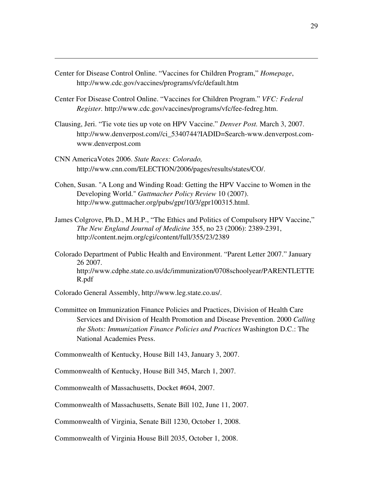Center for Disease Control Online. "Vaccines for Children Program," *Homepage*, http://www.cdc.gov/vaccines/programs/vfc/default.htm

 $\overline{a}$ 

- Center For Disease Control Online. "Vaccines for Children Program." *VFC: Federal Register.* http://www.cdc.gov/vaccines/programs/vfc/fee-fedreg.htm.
- Clausing, Jeri. "Tie vote ties up vote on HPV Vaccine." *Denver Post.* March 3, 2007. http://www.denverpost.com//ci\_5340744?IADID=Search-www.denverpost.comwww.denverpost.com
- CNN AmericaVotes 2006. *State Races: Colorado,*  http://www.cnn.com/ELECTION/2006/pages/results/states/CO/.
- Cohen, Susan. "A Long and Winding Road: Getting the HPV Vaccine to Women in the Developing World." *Guttmacher Policy Review* 10 (2007). http://www.guttmacher.org/pubs/gpr/10/3/gpr100315.html.
- James Colgrove, Ph.D., M.H.P., "The Ethics and Politics of Compulsory HPV Vaccine," *The New England Journal of Medicine* 355, no 23 (2006): 2389-2391, http://content.nejm.org/cgi/content/full/355/23/2389
- Colorado Department of Public Health and Environment. "Parent Letter 2007." January 26 2007. http://www.cdphe.state.co.us/dc/immunization/0708schoolyear/PARENTLETTE R.pdf
- Colorado General Assembly, http://www.leg.state.co.us/.
- Committee on Immunization Finance Policies and Practices, Division of Health Care Services and Division of Health Promotion and Disease Prevention. 2000 *Calling the Shots: Immunization Finance Policies and Practices* Washington D.C.: The National Academies Press.

Commonwealth of Kentucky, House Bill 143, January 3, 2007.

Commonwealth of Kentucky, House Bill 345, March 1, 2007.

Commonwealth of Massachusetts, Docket #604, 2007.

Commonwealth of Massachusetts, Senate Bill 102, June 11, 2007.

Commonwealth of Virginia, Senate Bill 1230, October 1, 2008.

Commonwealth of Virginia House Bill 2035, October 1, 2008.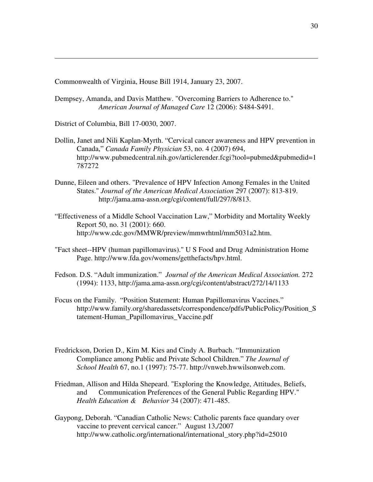Commonwealth of Virginia, House Bill 1914, January 23, 2007.

- Dempsey, Amanda, and Davis Matthew. "Overcoming Barriers to Adherence to." *American Journal of Managed Care* 12 (2006): S484-S491.
- District of Columbia, Bill 17-0030, 2007.

 $\overline{a}$ 

- Dollin, Janet and Nili Kaplan-Myrth. "Cervical cancer awareness and HPV prevention in Canada," *Canada Family Physician* 53, no. 4 (2007) 694, http://www.pubmedcentral.nih.gov/articlerender.fcgi?tool=pubmed&pubmedid=1 787272
- Dunne, Eileen and others. "Prevalence of HPV Infection Among Females in the United States." *Journal of the American Medical Association* 297 (2007): 813-819. http://jama.ama-assn.org/cgi/content/full/297/8/813.
- "Effectiveness of a Middle School Vaccination Law," Morbidity and Mortality Weekly Report 50, no. 31 (2001): 660. http://www.cdc.gov/MMWR/preview/mmwrhtml/mm5031a2.htm.
- "Fact sheet--HPV (human papillomavirus)." U S Food and Drug Administration Home Page. http://www.fda.gov/womens/getthefacts/hpv.html.
- Fedson. D.S. "Adult immunization." *Journal of the American Medical Association.* 272 (1994): 1133, http://jama.ama-assn.org/cgi/content/abstract/272/14/1133
- Focus on the Family. "Position Statement: Human Papillomavirus Vaccines." http://www.family.org/sharedassets/correspondence/pdfs/PublicPolicy/Position\_S tatement-Human\_Papillomavirus\_Vaccine.pdf
- Fredrickson, Dorien D., Kim M. Kies and Cindy A. Burbach. "Immunization Compliance among Public and Private School Children." *The Journal of School Health* 67, no.1 (1997): 75-77. http://vnweb.hwwilsonweb.com.
- Friedman, Allison and Hilda Shepeard. "Exploring the Knowledge, Attitudes, Beliefs, and Communication Preferences of the General Public Regarding HPV." *Health Education & Behavior* 34 (2007): 471-485.
- Gaypong, Deborah. "Canadian Catholic News: Catholic parents face quandary over vaccine to prevent cervical cancer." August 13,/2007 http://www.catholic.org/international/international\_story.php?id=25010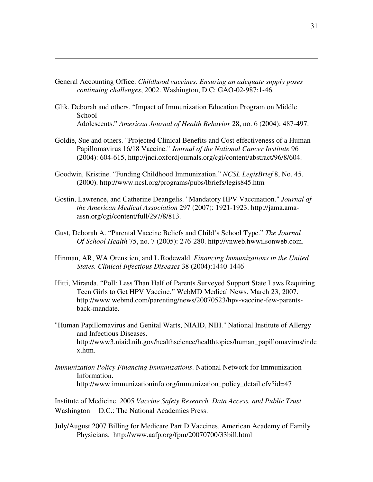General Accounting Office. *Childhood vaccines. Ensuring an adequate supply poses continuing challenges*, 2002. Washington, D.C: GAO-02-987:1-46.

 $\overline{a}$ 

- Glik, Deborah and others. "Impact of Immunization Education Program on Middle **School** Adolescents." *American Journal of Health Behavior* 28, no. 6 (2004): 487-497.
- Goldie, Sue and others. "Projected Clinical Benefits and Cost effectiveness of a Human Papillomavirus 16/18 Vaccine." *Journal of the National Cancer Institute* 96 (2004): 604-615, http://jnci.oxfordjournals.org/cgi/content/abstract/96/8/604.
- Goodwin, Kristine. "Funding Childhood Immunization." *NCSL LegisBrief* 8, No. 45. (2000). http://www.ncsl.org/programs/pubs/lbriefs/legis845.htm
- Gostin, Lawrence, and Catherine Deangelis. "Mandatory HPV Vaccination." *Journal of the American Medical Association* 297 (2007): 1921-1923. http://jama.amaassn.org/cgi/content/full/297/8/813.
- Gust, Deborah A. "Parental Vaccine Beliefs and Child's School Type." *The Journal Of School Health* 75, no. 7 (2005): 276-280. http://vnweb.hwwilsonweb.com.
- Hinman, AR, WA Orenstien, and L Rodewald. *Financing Immunizations in the United States. Clinical Infectious Diseases* 38 (2004):1440-1446
- Hitti, Miranda. "Poll: Less Than Half of Parents Surveyed Support State Laws Requiring Teen Girls to Get HPV Vaccine." WebMD Medical News. March 23, 2007. http://www.webmd.com/parenting/news/20070523/hpv-vaccine-few-parentsback-mandate.
- "Human Papillomavirus and Genital Warts, NIAID, NIH." National Institute of Allergy and Infectious Diseases. http://www3.niaid.nih.gov/healthscience/healthtopics/human\_papillomavirus/inde x.htm.
- *Immunization Policy Financing Immunizations*. National Network for Immunization Information. http://www.immunizationinfo.org/immunization\_policy\_detail.cfv?id=47

Institute of Medicine. 2005 *Vaccine Safety Research, Data Access, and Public Trust* Washington D.C.: The National Academies Press.

July/August 2007 Billing for Medicare Part D Vaccines. American Academy of Family Physicians. http://www.aafp.org/fpm/20070700/33bill.html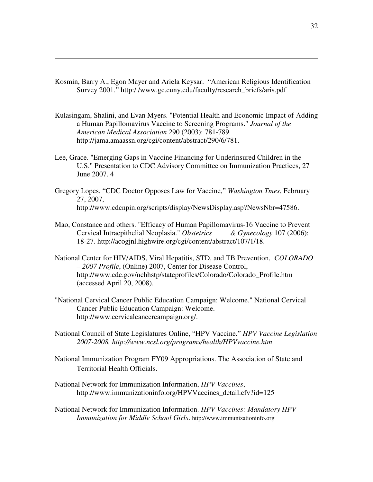Kosmin, Barry A., Egon Mayer and Ariela Keysar. "American Religious Identification Survey 2001." http:/ /www.gc.cuny.edu/faculty/research\_briefs/aris.pdf

 $\overline{a}$ 

- Kulasingam, Shalini, and Evan Myers. "Potential Health and Economic Impact of Adding a Human Papillomavirus Vaccine to Screening Programs." *Journal of the American Medical Association* 290 (2003): 781-789. http://jama.amaassn.org/cgi/content/abstract/290/6/781.
- Lee, Grace. "Emerging Gaps in Vaccine Financing for Underinsured Children in the U.S." Presentation to CDC Advisory Committee on Immunization Practices, 27 June 2007. 4
- Gregory Lopes, "CDC Doctor Opposes Law for Vaccine," *Washington Tmes*, February 27, 2007, http://www.cdcnpin.org/scripts/display/NewsDisplay.asp?NewsNbr=47586.
- Mao, Constance and others. "Efficacy of Human Papillomavirus-16 Vaccine to Prevent Cervical Intraepithelial Neoplasia." *Obstetrics & Gynecology* 107 (2006): 18-27. http://acogjnl.highwire.org/cgi/content/abstract/107/1/18.
- National Center for HIV/AIDS, Viral Hepatitis, STD, and TB Prevention, *COLORADO – 2007 Profile*, (Online) 2007, Center for Disease Control, http://www.cdc.gov/nchhstp/stateprofiles/Colorado/Colorado\_Profile.htm (accessed April 20, 2008).
- "National Cervical Cancer Public Education Campaign: Welcome." National Cervical Cancer Public Education Campaign: Welcome. http://www.cervicalcancercampaign.org/.
- National Council of State Legislatures Online, "HPV Vaccine." *HPV Vaccine Legislation 2007-2008, http://www.ncsl.org/programs/health/HPVvaccine.htm*
- National Immunization Program FY09 Appropriations. The Association of State and Territorial Health Officials.
- National Network for Immunization Information, *HPV Vaccines*, http://www.immunizationinfo.org/HPVVaccines\_detail.cfv?id=125
- National Network for Immunization Information. *HPV Vaccines: Mandatory HPV Immunization for Middle School Girls*. http://www.immunizationinfo.org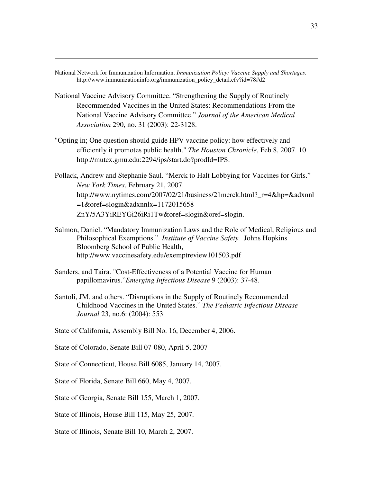National Network for Immunization Information. *Immunization Policy: Vaccine Supply and Shortages*. http://www.immunizationinfo.org/immunization\_policy\_detail.cfv?id=78#d2

 $\overline{a}$ 

- National Vaccine Advisory Committee. "Strengthening the Supply of Routinely Recommended Vaccines in the United States: Recommendations From the National Vaccine Advisory Committee." *Journal of the American Medical Association* 290, no. 31 (2003): 22-3128.
- "Opting in; One question should guide HPV vaccine policy: how effectively and efficiently it promotes public health." *The Houston Chronicle*, Feb 8, 2007. 10. http://mutex.gmu.edu:2294/ips/start.do?prodId=IPS.
- Pollack, Andrew and Stephanie Saul. "Merck to Halt Lobbying for Vaccines for Girls." *New York Times*, February 21, 2007. http://www.nytimes.com/2007/02/21/business/21merck.html?\_r=4&hp=&adxnnl  $=1$ &oref=slogin&adxnnlx=1172015658-ZnY/5A3YiREYGi26iRi1Tw&oref=slogin&oref=slogin.
- Salmon, Daniel. "Mandatory Immunization Laws and the Role of Medical, Religious and Philosophical Exemptions." *Institute of Vaccine Safety.* Johns Hopkins Bloomberg School of Public Health, http://www.vaccinesafety.edu/exemptreview101503.pdf
- Sanders, and Taira. "Cost-Effectiveness of a Potential Vaccine for Human papillomavirus."*Emerging Infectious Disease* 9 (2003): 37-48.
- Santoli, JM. and others. "Disruptions in the Supply of Routinely Recommended Childhood Vaccines in the United States." *The Pediatric Infectious Disease Journal* 23, no.6: (2004): 553
- State of California, Assembly Bill No. 16, December 4, 2006.
- State of Colorado, Senate Bill 07-080, April 5, 2007
- State of Connecticut, House Bill 6085, January 14, 2007.
- State of Florida, Senate Bill 660, May 4, 2007.
- State of Georgia, Senate Bill 155, March 1, 2007.

State of Illinois, House Bill 115, May 25, 2007.

State of Illinois, Senate Bill 10, March 2, 2007.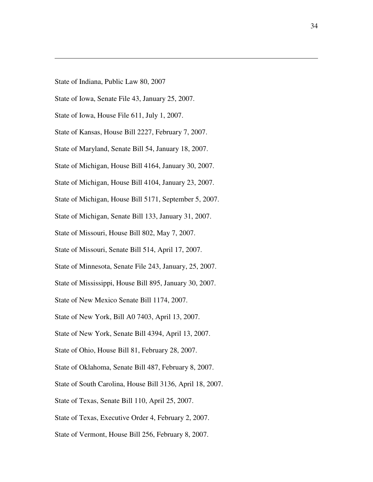State of Indiana, Public Law 80, 2007

 $\overline{a}$ 

- State of Iowa, Senate File 43, January 25, 2007.
- State of Iowa, House File 611, July 1, 2007.
- State of Kansas, House Bill 2227, February 7, 2007.
- State of Maryland, Senate Bill 54, January 18, 2007.
- State of Michigan, House Bill 4164, January 30, 2007.
- State of Michigan, House Bill 4104, January 23, 2007.
- State of Michigan, House Bill 5171, September 5, 2007.
- State of Michigan, Senate Bill 133, January 31, 2007.
- State of Missouri, House Bill 802, May 7, 2007.
- State of Missouri, Senate Bill 514, April 17, 2007.
- State of Minnesota, Senate File 243, January, 25, 2007.
- State of Mississippi, House Bill 895, January 30, 2007.
- State of New Mexico Senate Bill 1174, 2007.
- State of New York, Bill A0 7403, April 13, 2007.
- State of New York, Senate Bill 4394, April 13, 2007.
- State of Ohio, House Bill 81, February 28, 2007.
- State of Oklahoma, Senate Bill 487, February 8, 2007.
- State of South Carolina, House Bill 3136, April 18, 2007.
- State of Texas, Senate Bill 110, April 25, 2007.
- State of Texas, Executive Order 4, February 2, 2007.
- State of Vermont, House Bill 256, February 8, 2007.